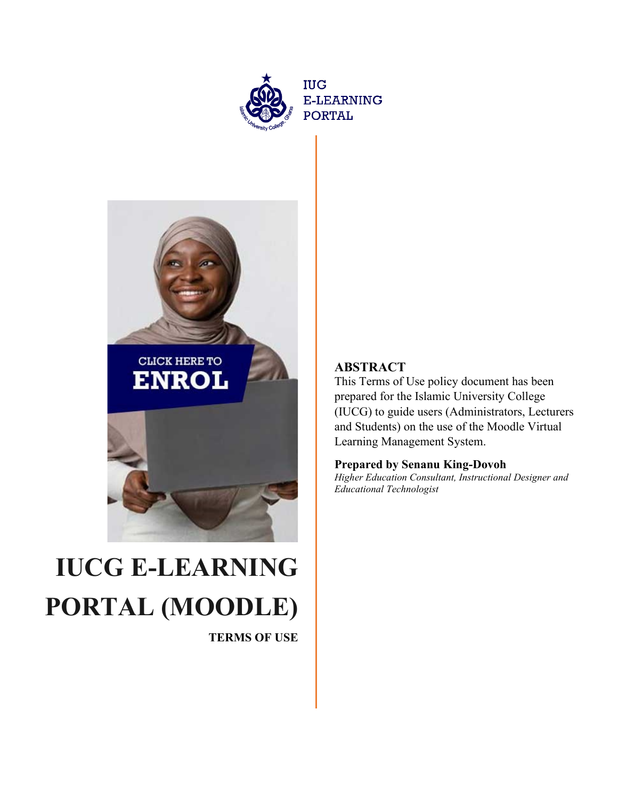



# **IUCG E-LEARNING PORTAL (MOODLE)**

**TERMS OF USE**

# **ABSTRACT**

This Terms of Use policy document has been prepared for the Islamic University College (IUCG) to guide users (Administrators, Lecturers and Students) on the use of the Moodle Virtual Learning Management System.

#### **Prepared by Senanu King-Dovoh**

*Higher Education Consultant, Instructional Designer and Educational Technologist*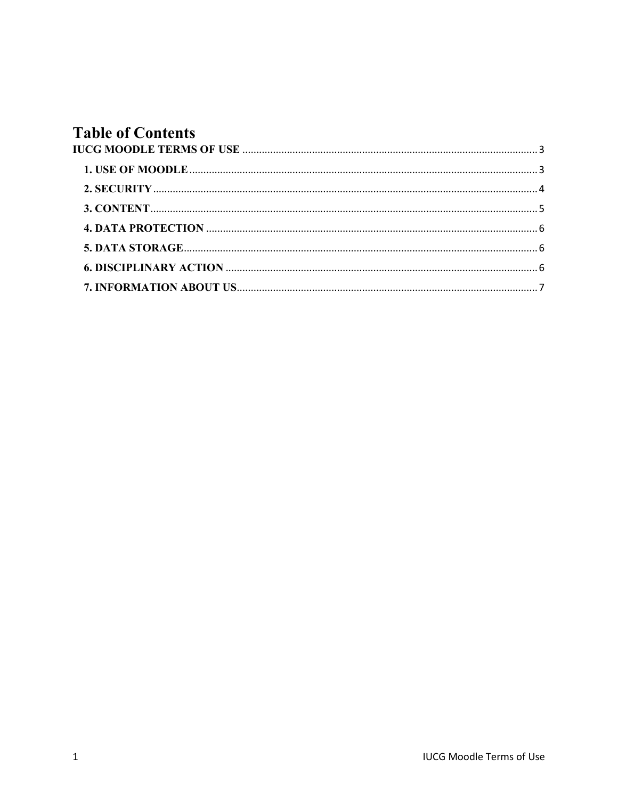# **Table of Contents**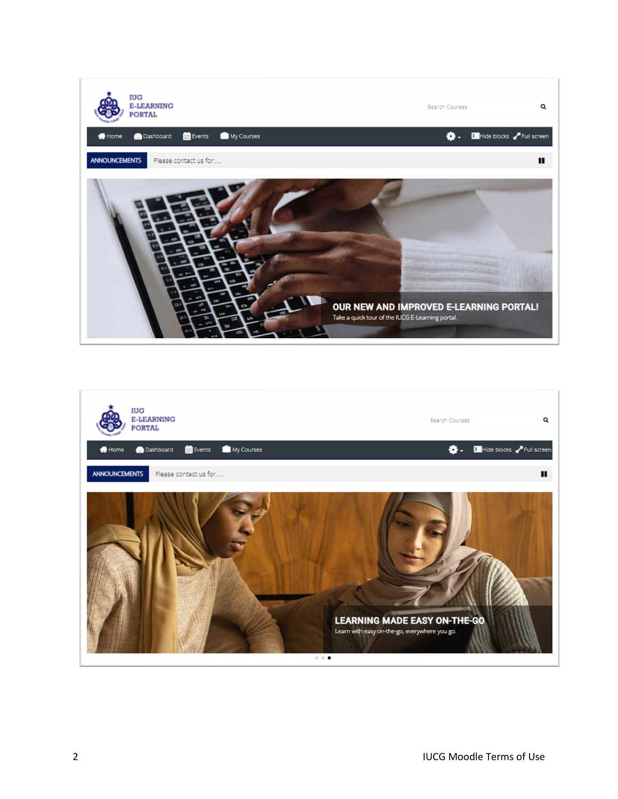

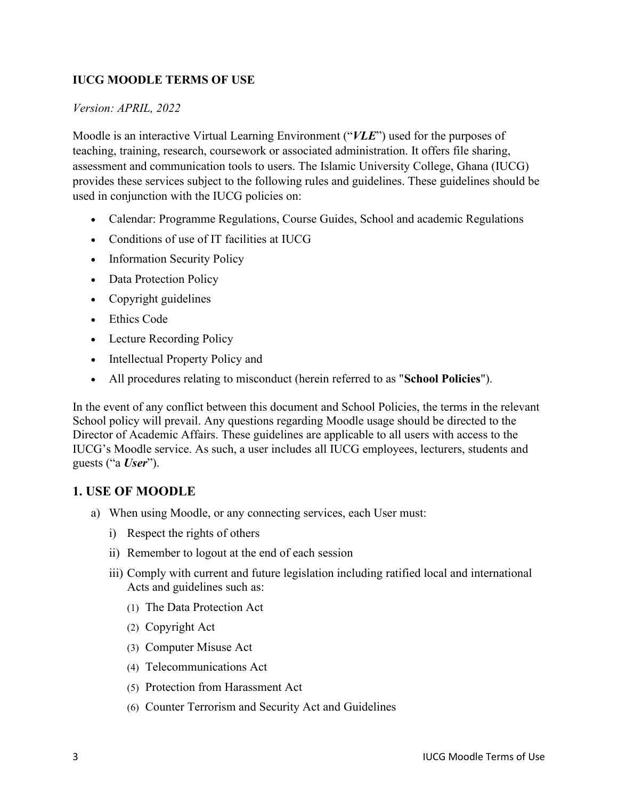#### <span id="page-3-0"></span>**IUCG MOODLE TERMS OF USE**

#### *Version: APRIL, 2022*

Moodle is an interactive Virtual Learning Environment ("*VLE*") used for the purposes of teaching, training, research, coursework or associated administration. It offers file sharing, assessment and communication tools to users. The Islamic University College, Ghana (IUCG) provides these services subject to the following rules and guidelines. These guidelines should be used in conjunction with the IUCG policies on:

- Calendar: Programme Regulations, Course Guides, School and academic Regulations
- Conditions of use of IT facilities at IUCG
- Information Security Policy
- Data Protection Policy
- Copyright guidelines
- Ethics Code
- Lecture Recording Policy
- Intellectual Property Policy and
- All procedures relating to misconduct (herein referred to as "**School Policies**").

In the event of any conflict between this document and School Policies, the terms in the relevant School policy will prevail. Any questions regarding Moodle usage should be directed to the Director of Academic Affairs. These guidelines are applicable to all users with access to the IUCG's Moodle service. As such, a user includes all IUCG employees, lecturers, students and guests ("a *User*").

#### <span id="page-3-1"></span>**1. USE OF MOODLE**

- a) When using Moodle, or any connecting services, each User must:
	- i) Respect the rights of others
	- ii) Remember to logout at the end of each session
	- iii) Comply with current and future legislation including ratified local and international Acts and guidelines such as:
		- (1) The Data Protection Act
		- (2) Copyright Act
		- (3) Computer Misuse Act
		- (4) Telecommunications Act
		- (5) Protection from Harassment Act
		- (6) Counter Terrorism and Security Act and Guidelines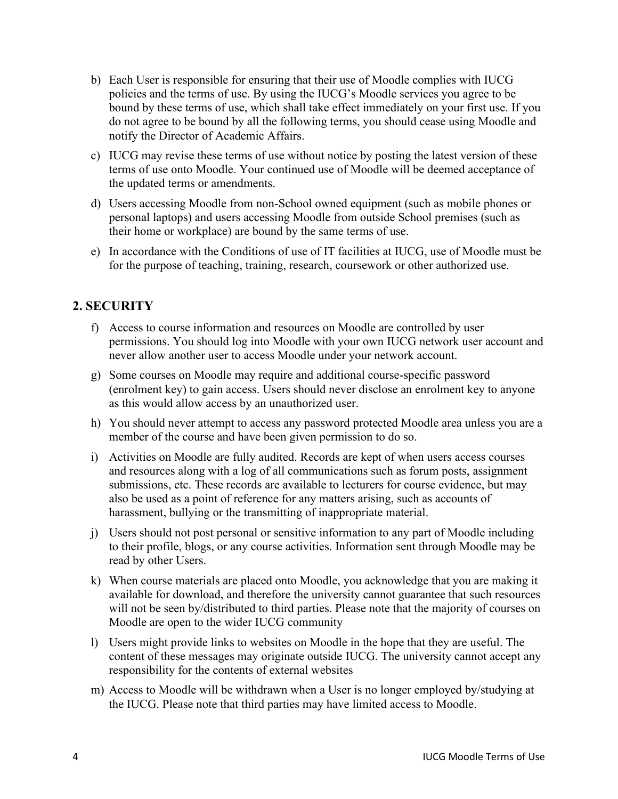- b) Each User is responsible for ensuring that their use of Moodle complies with IUCG policies and the terms of use. By using the IUCG's Moodle services you agree to be bound by these terms of use, which shall take effect immediately on your first use. If you do not agree to be bound by all the following terms, you should cease using Moodle and notify the Director of Academic Affairs.
- c) IUCG may revise these terms of use without notice by posting the latest version of these terms of use onto Moodle. Your continued use of Moodle will be deemed acceptance of the updated terms or amendments.
- d) Users accessing Moodle from non-School owned equipment (such as mobile phones or personal laptops) and users accessing Moodle from outside School premises (such as their home or workplace) are bound by the same terms of use.
- e) In accordance with the Conditions of use of IT facilities at IUCG, use of Moodle must be for the purpose of teaching, training, research, coursework or other authorized use.

# <span id="page-4-0"></span>**2. SECURITY**

- f) Access to course information and resources on Moodle are controlled by user permissions. You should log into Moodle with your own IUCG network user account and never allow another user to access Moodle under your network account.
- g) Some courses on Moodle may require and additional course-specific password (enrolment key) to gain access. Users should never disclose an enrolment key to anyone as this would allow access by an unauthorized user.
- h) You should never attempt to access any password protected Moodle area unless you are a member of the course and have been given permission to do so.
- i) Activities on Moodle are fully audited. Records are kept of when users access courses and resources along with a log of all communications such as forum posts, assignment submissions, etc. These records are available to lecturers for course evidence, but may also be used as a point of reference for any matters arising, such as accounts of harassment, bullying or the transmitting of inappropriate material.
- j) Users should not post personal or sensitive information to any part of Moodle including to their profile, blogs, or any course activities. Information sent through Moodle may be read by other Users.
- k) When course materials are placed onto Moodle, you acknowledge that you are making it available for download, and therefore the university cannot guarantee that such resources will not be seen by/distributed to third parties. Please note that the majority of courses on Moodle are open to the wider IUCG community
- l) Users might provide links to websites on Moodle in the hope that they are useful. The content of these messages may originate outside IUCG. The university cannot accept any responsibility for the contents of external websites
- m) Access to Moodle will be withdrawn when a User is no longer employed by/studying at the IUCG. Please note that third parties may have limited access to Moodle.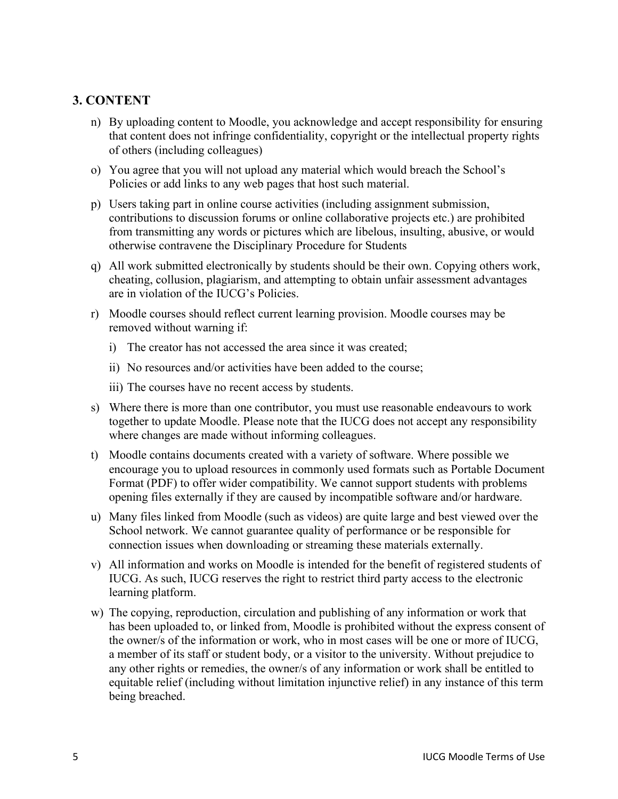### <span id="page-5-0"></span>**3. CONTENT**

- n) By uploading content to Moodle, you acknowledge and accept responsibility for ensuring that content does not infringe confidentiality, copyright or the intellectual property rights of others (including colleagues)
- o) You agree that you will not upload any material which would breach the School's Policies or add links to any web pages that host such material.
- p) Users taking part in online course activities (including assignment submission, contributions to discussion forums or online collaborative projects etc.) are prohibited from transmitting any words or pictures which are libelous, insulting, abusive, or would otherwise contravene the Disciplinary Procedure for Students
- q) All work submitted electronically by students should be their own. Copying others work, cheating, collusion, plagiarism, and attempting to obtain unfair assessment advantages are in violation of the IUCG's Policies.
- r) Moodle courses should reflect current learning provision. Moodle courses may be removed without warning if:
	- i) The creator has not accessed the area since it was created;
	- ii) No resources and/or activities have been added to the course;
	- iii) The courses have no recent access by students.
- s) Where there is more than one contributor, you must use reasonable endeavours to work together to update Moodle. Please note that the IUCG does not accept any responsibility where changes are made without informing colleagues.
- t) Moodle contains documents created with a variety of software. Where possible we encourage you to upload resources in commonly used formats such as Portable Document Format (PDF) to offer wider compatibility. We cannot support students with problems opening files externally if they are caused by incompatible software and/or hardware.
- u) Many files linked from Moodle (such as videos) are quite large and best viewed over the School network. We cannot guarantee quality of performance or be responsible for connection issues when downloading or streaming these materials externally.
- v) All information and works on Moodle is intended for the benefit of registered students of IUCG. As such, IUCG reserves the right to restrict third party access to the electronic learning platform.
- w) The copying, reproduction, circulation and publishing of any information or work that has been uploaded to, or linked from, Moodle is prohibited without the express consent of the owner/s of the information or work, who in most cases will be one or more of IUCG, a member of its staff or student body, or a visitor to the university. Without prejudice to any other rights or remedies, the owner/s of any information or work shall be entitled to equitable relief (including without limitation injunctive relief) in any instance of this term being breached.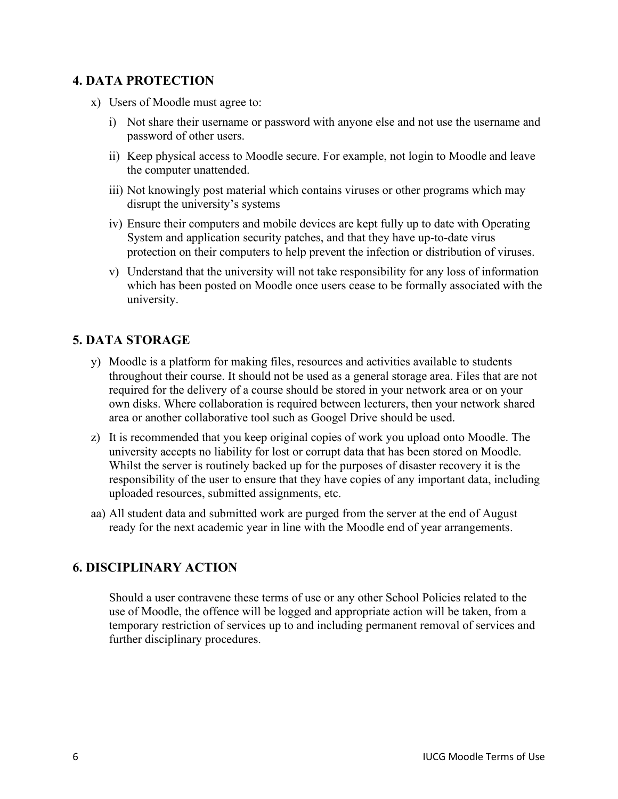# <span id="page-6-0"></span>**4. DATA PROTECTION**

- x) Users of Moodle must agree to:
	- i) Not share their username or password with anyone else and not use the username and password of other users.
	- ii) Keep physical access to Moodle secure. For example, not login to Moodle and leave the computer unattended.
	- iii) Not knowingly post material which contains viruses or other programs which may disrupt the university's systems
	- iv) Ensure their computers and mobile devices are kept fully up to date with Operating System and application security patches, and that they have up-to-date virus protection on their computers to help prevent the infection or distribution of viruses.
	- v) Understand that the university will not take responsibility for any loss of information which has been posted on Moodle once users cease to be formally associated with the university.

#### <span id="page-6-1"></span>**5. DATA STORAGE**

- y) Moodle is a platform for making files, resources and activities available to students throughout their course. It should not be used as a general storage area. Files that are not required for the delivery of a course should be stored in your network area or on your own disks. Where collaboration is required between lecturers, then your network shared area or another collaborative tool such as Googel Drive should be used.
- z) It is recommended that you keep original copies of work you upload onto Moodle. The university accepts no liability for lost or corrupt data that has been stored on Moodle. Whilst the server is routinely backed up for the purposes of disaster recovery it is the responsibility of the user to ensure that they have copies of any important data, including uploaded resources, submitted assignments, etc.
- aa) All student data and submitted work are purged from the server at the end of August ready for the next academic year in line with the Moodle end of year arrangements.

# <span id="page-6-2"></span>**6. DISCIPLINARY ACTION**

Should a user contravene these terms of use or any other School Policies related to the use of Moodle, the offence will be logged and appropriate action will be taken, from a temporary restriction of services up to and including permanent removal of services and further disciplinary procedures.